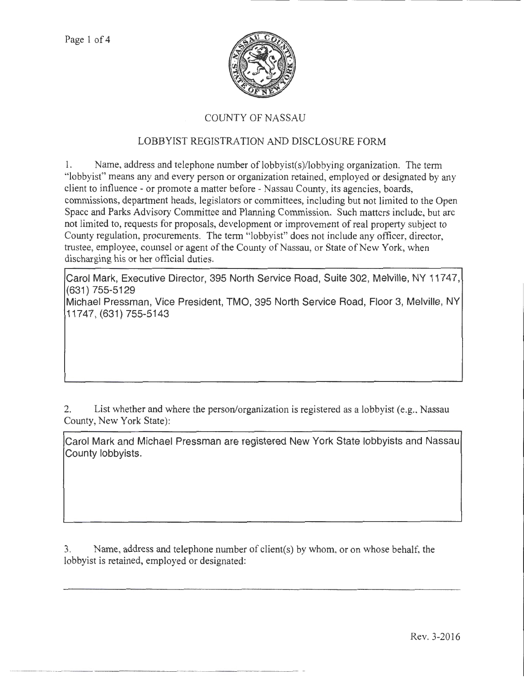

## COUNTY OF NASSAU

## LOBBYIST REGISTRATION AND DISCLOSURE FORM

1. Name, address and telephone number of lobbyist(s)/lobbying organization. The term "lobbyist" means any and every person or organization retained, employed or designated by any client to influence- or promote a matter before- Nassau County, its agencies, boards, commissions, department heads, legislators or committees, including but not limited to the Open Space and Parks Advisory Committee and Planning Commission. Such matters include, but arc not limited to, requests for proposals, development or improvement of real property subject to County regulation, procurements. The term "lobbyist" does not include any officer, director, trustee, employee, counsel or agent of the County of Nassau, or State of New York, when discharging his or her official duties.

Carol Mark, Executive Director, 395 North Service Road, Suite 302, Melville, NY 11747, (631) 755-5129 Michael Pressman, Vice President, TMO, 395 North Service Road, Floor 3, Melville, NY 11747, (631) 755-5143

2. List whether and where the person/organization is registered as a lobbyist (e.g., Nassau County, New York State):

Carol Mark and Michael Pressman are registered New York State lobbyists and Nassau County lobbyists.

3. Name, address and telephone number of client(s) by whom, or on whose behalf, the lobbyist is retained, employed or designated: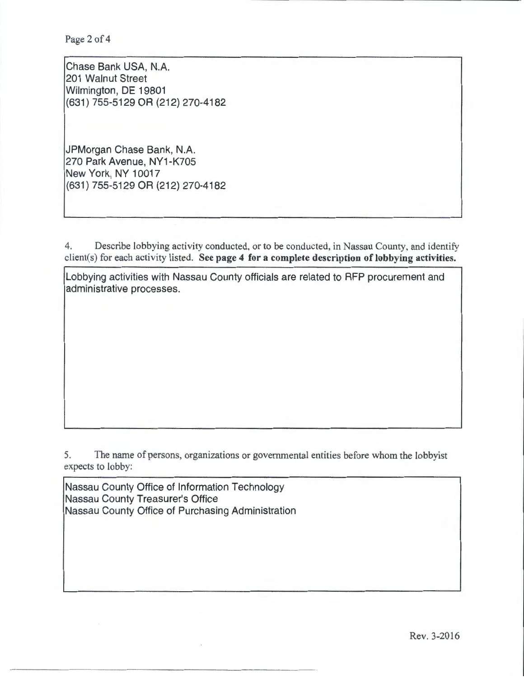Page 2 of 4

Chase Bank USA, N.A. 201 Walnut Street Wilmington, DE 19801 (631) 755-5129 OR (212) 270-4182

JPMorgan Chase Bank, N.A. 270 Park Avenue, NY1-K705 New York, NY 10017 (631) 755-5129 OR (212) 270-4182

4. Describe lobbying activity conducted, or to be conducted, in Nassau County, and identify client(s) for each activity listed. See page 4 for a complete description of lobbying activities.

Lobbying activities with Nassau County officials are related to RFP procurement and administrative processes.

5. The name of persons, organizations or governmental entities before whom the lobbyist expects to lobby:

Nassau County Office of Information Technology Nassau County Treasurer's Office Nassau County Office of Purchasing Administration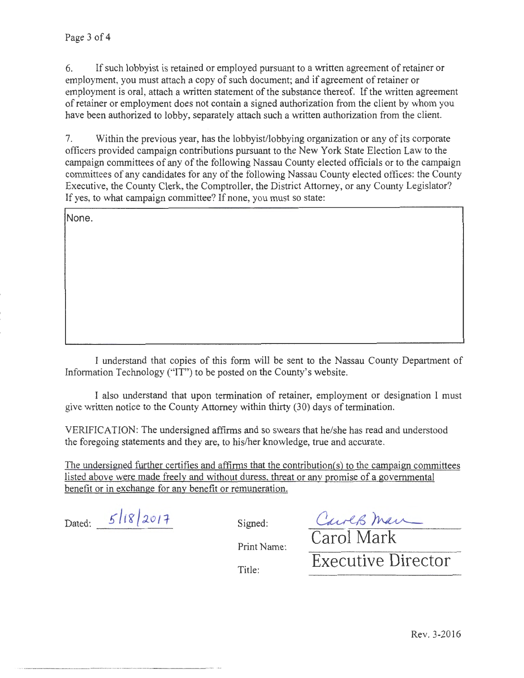6. If such lobbyist is retained or employed pursuant to a written agreement of retainer or employment, you must attach a copy of such document; and if agreement of retainer or employment is oral, attach a written statement of the substance thereof. If the written agreement of retainer or employment does not contain a signed authorization from the client by whom you have been authorized to lobby, separately attach such a written authorization from the client.

7. Within the previous year, has the lobbyist/lobbying organization or any of its corporate officers provided campaign contributions pursuant to the New York State Election Law to the campaign committees of any of the following Nassau County elected officials or to the campaign committees of any candidates tor any of the following Nassau County elected offices: the County Executive, the County Clerk, the Comptroller, the District Attorney, or any County Legislator? If yes, to what campaign committee? If none, you must so state:

None.

I understand that copies of this form will be sent to the Nassau County Department of Information Technology ("IT") to be posted on the County's website.

I also understand that upon termination of retainer, employment or designation I must give written notice to the County Attorney within thirty (30) days of termination.

VERIFICATION: The undersigned affirms and so swears that he/she has read and understood the foregoing statements and they are, to his/her knowledge, true and accurate.

The undersigned further certifies and affirms that the contribution(s) to the campaign committees listed above were made freely and without duress, threat or any promise of a governmental benefit or in exchange for any benefit or remuneration.

Dated:  $5/18/2017$  Signed:

Carol Man

Print Name:

Title:

Executive Director